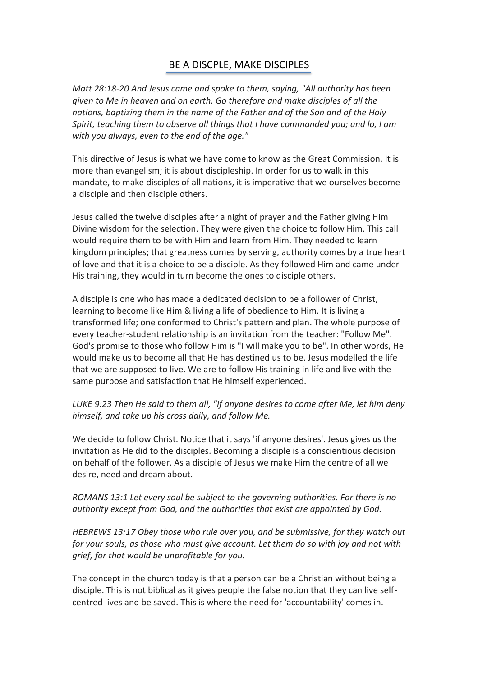## BE A DISCPLE, MAKE DISCIPLES

*Matt 28:18-20 And Jesus came and spoke to them, saying, "All authority has been given to Me in heaven and on earth. Go therefore and make disciples of all the nations, baptizing them in the name of the Father and of the Son and of the Holy Spirit, teaching them to observe all things that I have commanded you; and lo, I am with you always, even to the end of the age."*

This directive of Jesus is what we have come to know as the Great Commission. It is more than evangelism; it is about discipleship. In order for us to walk in this mandate, to make disciples of all nations, it is imperative that we ourselves become a disciple and then disciple others.

Jesus called the twelve disciples after a night of prayer and the Father giving Him Divine wisdom for the selection. They were given the choice to follow Him. This call would require them to be with Him and learn from Him. They needed to learn kingdom principles; that greatness comes by serving, authority comes by a true heart of love and that it is a choice to be a disciple. As they followed Him and came under His training, they would in turn become the ones to disciple others.

A disciple is one who has made a dedicated decision to be a follower of Christ, learning to become like Him & living a life of obedience to Him. It is living a transformed life; one conformed to Christ's pattern and plan. The whole purpose of every teacher-student relationship is an invitation from the teacher: "Follow Me". God's promise to those who follow Him is "I will make you to be". In other words, He would make us to become all that He has destined us to be. Jesus modelled the life that we are supposed to live. We are to follow His training in life and live with the same purpose and satisfaction that He himself experienced.

*LUKE 9:23 Then He said to them all, "If anyone desires to come after Me, let him deny himself, and take up his cross daily, and follow Me.* 

We decide to follow Christ. Notice that it says 'if anyone desires'. Jesus gives us the invitation as He did to the disciples. Becoming a disciple is a conscientious decision on behalf of the follower. As a disciple of Jesus we make Him the centre of all we desire, need and dream about.

*ROMANS 13:1 Let every soul be subject to the governing authorities. For there is no authority except from God, and the authorities that exist are appointed by God.* 

*HEBREWS 13:17 Obey those who rule over you, and be submissive, for they watch out for your souls, as those who must give account. Let them do so with joy and not with grief, for that would be unprofitable for you.* 

The concept in the church today is that a person can be a Christian without being a disciple. This is not biblical as it gives people the false notion that they can live selfcentred lives and be saved. This is where the need for 'accountability' comes in.